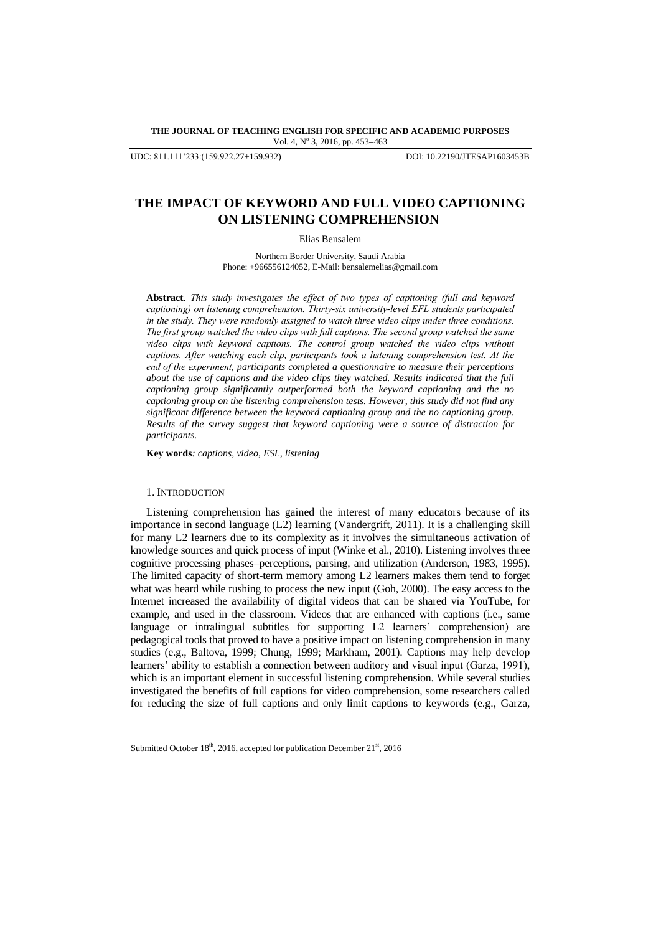## **THE JOURNAL OF TEACHING ENGLISH FOR SPECIFIC AND ACADEMIC PURPOSES** Vol. 4, Nº 3, 2016, pp. 453-463

UDC: 811.111'233:(159.922.27+159.932) DOI: 10.22190/JTESAP1603453B

# **THE IMPACT OF KEYWORD AND FULL VIDEO CAPTIONING ON LISTENING COMPREHENSION**

Elias Bensalem

Northern Border University, Saudi Arabia Phone: +966556124052, E-Mail: bensalemelias@gmail.com

**Abstract**. *This study investigates the effect of two types of captioning (full and keyword captioning) on listening comprehension. Thirty-six university-level EFL students participated in the study. They were randomly assigned to watch three video clips under three conditions. The first group watched the video clips with full captions. The second group watched the same video clips with keyword captions. The control group watched the video clips without captions. After watching each clip, participants took a listening comprehension test. At the end of the experiment, participants completed a questionnaire to measure their perceptions about the use of captions and the video clips they watched. Results indicated that the full captioning group significantly outperformed both the keyword captioning and the no captioning group on the listening comprehension tests. However, this study did not find any significant difference between the keyword captioning group and the no captioning group. Results of the survey suggest that keyword captioning were a source of distraction for participants.*

**Key words***: captions, video, ESL, listening*

# 1. INTRODUCTION

l

Listening comprehension has gained the interest of many educators because of its importance in second language (L2) learning (Vandergrift, 2011). It is a challenging skill for many L2 learners due to its complexity as it involves the simultaneous activation of knowledge sources and quick process of input (Winke et al., 2010). Listening involves three cognitive processing phases–perceptions, parsing, and utilization (Anderson, 1983, 1995). The limited capacity of short-term memory among L2 learners makes them tend to forget what was heard while rushing to process the new input (Goh, 2000). The easy access to the Internet increased the availability of digital videos that can be shared via YouTube, for example, and used in the classroom. Videos that are enhanced with captions (i.e., same language or intralingual subtitles for supporting L2 learners' comprehension) are pedagogical tools that proved to have a positive impact on listening comprehension in many studies (e.g., Baltova, 1999; Chung, 1999; Markham, 2001). Captions may help develop learners' ability to establish a connection between auditory and visual input (Garza, 1991), which is an important element in successful listening comprehension. While several studies investigated the benefits of full captions for video comprehension, some researchers called for reducing the size of full captions and only limit captions to keywords (e.g., Garza,

Submitted October  $18<sup>th</sup>$ , 2016, accepted for publication December  $21<sup>st</sup>$ , 2016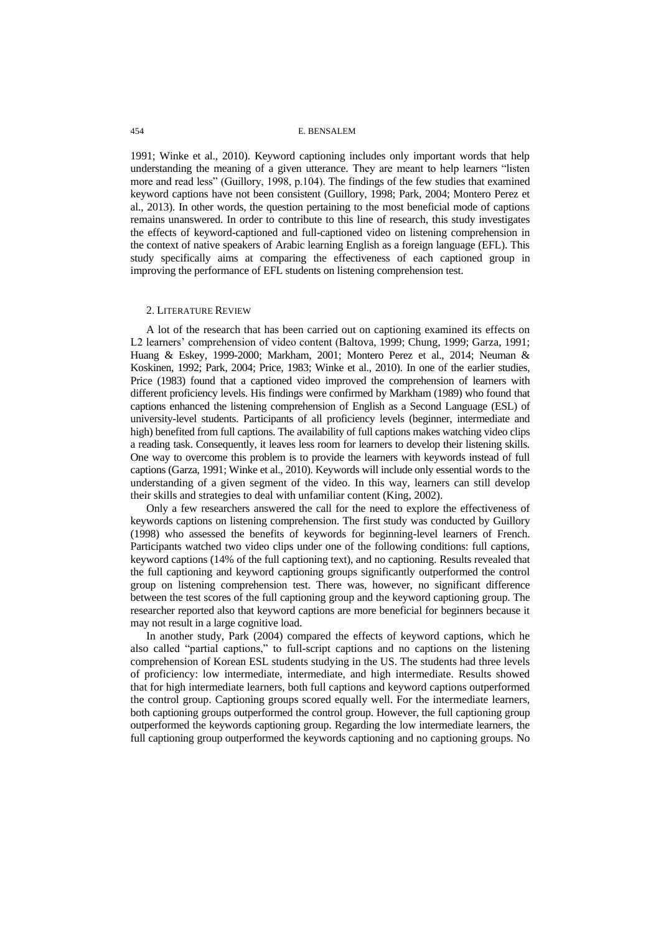1991; Winke et al., 2010). Keyword captioning includes only important words that help understanding the meaning of a given utterance. They are meant to help learners "listen more and read less" (Guillory, 1998, p.104). The findings of the few studies that examined keyword captions have not been consistent (Guillory, 1998; Park, 2004; Montero Perez et al., 2013). In other words, the question pertaining to the most beneficial mode of captions remains unanswered. In order to contribute to this line of research, this study investigates the effects of keyword-captioned and full-captioned video on listening comprehension in the context of native speakers of Arabic learning English as a foreign language (EFL). This study specifically aims at comparing the effectiveness of each captioned group in improving the performance of EFL students on listening comprehension test.

### 2. LITERATURE REVIEW

A lot of the research that has been carried out on captioning examined its effects on L2 learners' comprehension of video content (Baltova, 1999; Chung, 1999; Garza, 1991; Huang & Eskey, 1999-2000; Markham, 2001; Montero Perez et al., 2014; Neuman & Koskinen, 1992; Park, 2004; Price, 1983; Winke et al., 2010). In one of the earlier studies, Price (1983) found that a captioned video improved the comprehension of learners with different proficiency levels. His findings were confirmed by Markham (1989) who found that captions enhanced the listening comprehension of English as a Second Language (ESL) of university-level students. Participants of all proficiency levels (beginner, intermediate and high) benefited from full captions. The availability of full captions makes watching video clips a reading task. Consequently, it leaves less room for learners to develop their listening skills. One way to overcome this problem is to provide the learners with keywords instead of full captions (Garza, 1991; Winke et al., 2010). Keywords will include only essential words to the understanding of a given segment of the video. In this way, learners can still develop their skills and strategies to deal with unfamiliar content (King, 2002).

Only a few researchers answered the call for the need to explore the effectiveness of keywords captions on listening comprehension. The first study was conducted by Guillory (1998) who assessed the benefits of keywords for beginning-level learners of French. Participants watched two video clips under one of the following conditions: full captions, keyword captions (14% of the full captioning text), and no captioning. Results revealed that the full captioning and keyword captioning groups significantly outperformed the control group on listening comprehension test. There was, however, no significant difference between the test scores of the full captioning group and the keyword captioning group. The researcher reported also that keyword captions are more beneficial for beginners because it may not result in a large cognitive load.

In another study, Park (2004) compared the effects of keyword captions, which he also called "partial captions," to full-script captions and no captions on the listening comprehension of Korean ESL students studying in the US. The students had three levels of proficiency: low intermediate, intermediate, and high intermediate. Results showed that for high intermediate learners, both full captions and keyword captions outperformed the control group. Captioning groups scored equally well. For the intermediate learners, both captioning groups outperformed the control group. However, the full captioning group outperformed the keywords captioning group. Regarding the low intermediate learners, the full captioning group outperformed the keywords captioning and no captioning groups. No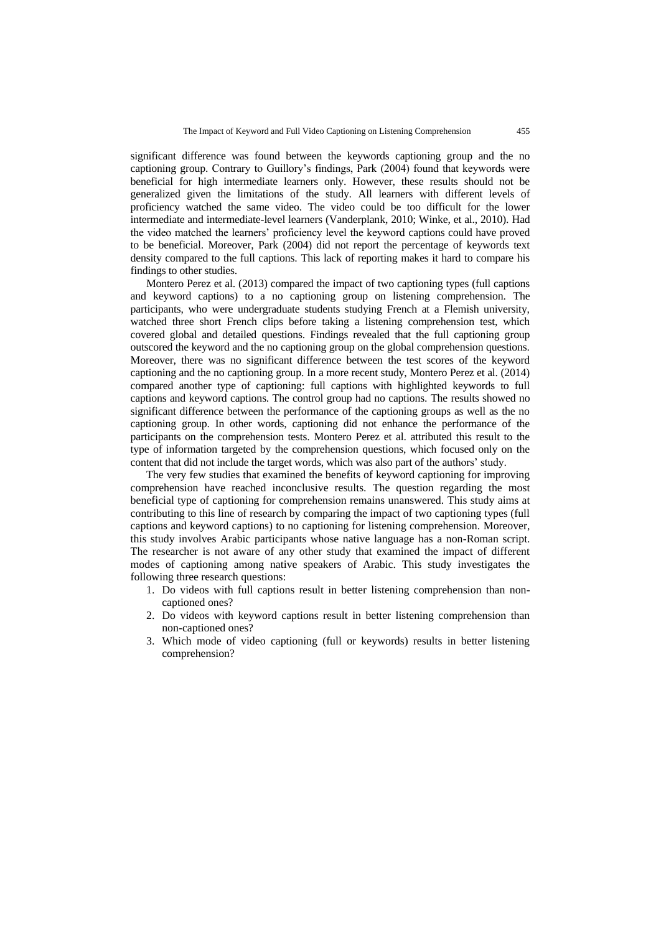significant difference was found between the keywords captioning group and the no captioning group. Contrary to Guillory's findings, Park (2004) found that keywords were beneficial for high intermediate learners only. However, these results should not be generalized given the limitations of the study. All learners with different levels of proficiency watched the same video. The video could be too difficult for the lower intermediate and intermediate-level learners (Vanderplank, 2010; Winke, et al., 2010). Had the video matched the learners' proficiency level the keyword captions could have proved to be beneficial. Moreover, Park (2004) did not report the percentage of keywords text density compared to the full captions. This lack of reporting makes it hard to compare his findings to other studies.

Montero Perez et al. (2013) compared the impact of two captioning types (full captions and keyword captions) to a no captioning group on listening comprehension. The participants, who were undergraduate students studying French at a Flemish university, watched three short French clips before taking a listening comprehension test, which covered global and detailed questions. Findings revealed that the full captioning group outscored the keyword and the no captioning group on the global comprehension questions. Moreover, there was no significant difference between the test scores of the keyword captioning and the no captioning group. In a more recent study, Montero Perez et al. (2014) compared another type of captioning: full captions with highlighted keywords to full captions and keyword captions. The control group had no captions. The results showed no significant difference between the performance of the captioning groups as well as the no captioning group. In other words, captioning did not enhance the performance of the participants on the comprehension tests. Montero Perez et al. attributed this result to the type of information targeted by the comprehension questions, which focused only on the content that did not include the target words, which was also part of the authors' study.

The very few studies that examined the benefits of keyword captioning for improving comprehension have reached inconclusive results. The question regarding the most beneficial type of captioning for comprehension remains unanswered. This study aims at contributing to this line of research by comparing the impact of two captioning types (full captions and keyword captions) to no captioning for listening comprehension. Moreover, this study involves Arabic participants whose native language has a non-Roman script. The researcher is not aware of any other study that examined the impact of different modes of captioning among native speakers of Arabic. This study investigates the following three research questions:

- 1. Do videos with full captions result in better listening comprehension than noncaptioned ones?
- 2. Do videos with keyword captions result in better listening comprehension than non-captioned ones?
- 3. Which mode of video captioning (full or keywords) results in better listening comprehension?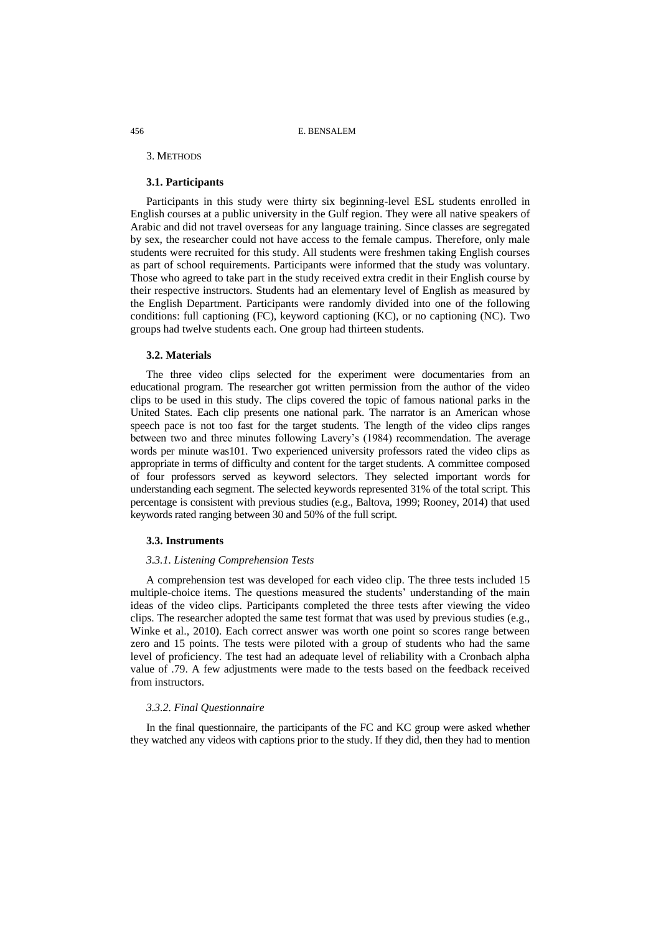#### 3. METHODS

# **3.1. Participants**

Participants in this study were thirty six beginning-level ESL students enrolled in English courses at a public university in the Gulf region. They were all native speakers of Arabic and did not travel overseas for any language training. Since classes are segregated by sex, the researcher could not have access to the female campus. Therefore, only male students were recruited for this study. All students were freshmen taking English courses as part of school requirements. Participants were informed that the study was voluntary. Those who agreed to take part in the study received extra credit in their English course by their respective instructors. Students had an elementary level of English as measured by the English Department. Participants were randomly divided into one of the following conditions: full captioning (FC), keyword captioning (KC), or no captioning (NC). Two groups had twelve students each. One group had thirteen students.

## **3.2. Materials**

The three video clips selected for the experiment were documentaries from an educational program. The researcher got written permission from the author of the video clips to be used in this study. The clips covered the topic of famous national parks in the United States. Each clip presents one national park. The narrator is an American whose speech pace is not too fast for the target students. The length of the video clips ranges between two and three minutes following Lavery's (1984) recommendation. The average words per minute was101. Two experienced university professors rated the video clips as appropriate in terms of difficulty and content for the target students. A committee composed of four professors served as keyword selectors. They selected important words for understanding each segment. The selected keywords represented 31% of the total script. This percentage is consistent with previous studies (e.g., Baltova, 1999; Rooney, 2014) that used keywords rated ranging between 30 and 50% of the full script.

#### **3.3. Instruments**

# *3.3.1. Listening Comprehension Tests*

A comprehension test was developed for each video clip. The three tests included 15 multiple-choice items. The questions measured the students' understanding of the main ideas of the video clips. Participants completed the three tests after viewing the video clips. The researcher adopted the same test format that was used by previous studies (e.g., Winke et al., 2010). Each correct answer was worth one point so scores range between zero and 15 points. The tests were piloted with a group of students who had the same level of proficiency. The test had an adequate level of reliability with a Cronbach alpha value of .79. A few adjustments were made to the tests based on the feedback received from instructors.

# *3.3.2. Final Questionnaire*

In the final questionnaire, the participants of the FC and KC group were asked whether they watched any videos with captions prior to the study. If they did, then they had to mention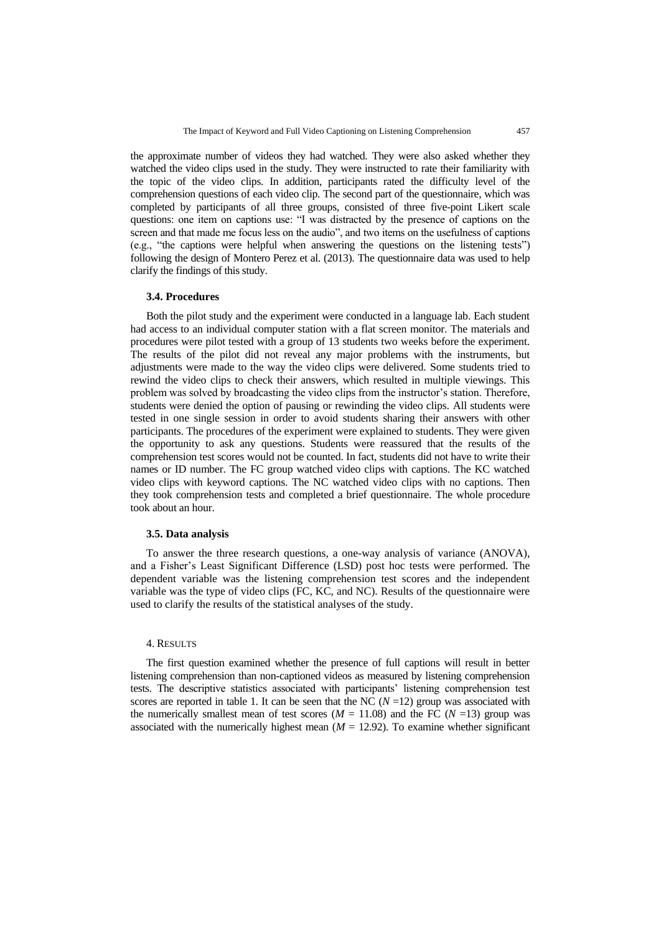the approximate number of videos they had watched. They were also asked whether they watched the video clips used in the study. They were instructed to rate their familiarity with the topic of the video clips. In addition, participants rated the difficulty level of the comprehension questions of each video clip. The second part of the questionnaire, which was completed by participants of all three groups, consisted of three five-point Likert scale questions: one item on captions use: "I was distracted by the presence of captions on the screen and that made me focus less on the audio", and two items on the usefulness of captions (e.g., "the captions were helpful when answering the questions on the listening tests") following the design of Montero Perez et al. (2013). The questionnaire data was used to help clarify the findings of this study.

# **3.4. Procedures**

Both the pilot study and the experiment were conducted in a language lab. Each student had access to an individual computer station with a flat screen monitor. The materials and procedures were pilot tested with a group of 13 students two weeks before the experiment. The results of the pilot did not reveal any major problems with the instruments, but adjustments were made to the way the video clips were delivered. Some students tried to rewind the video clips to check their answers, which resulted in multiple viewings. This problem was solved by broadcasting the video clips from the instructor's station. Therefore, students were denied the option of pausing or rewinding the video clips. All students were tested in one single session in order to avoid students sharing their answers with other participants. The procedures of the experiment were explained to students. They were given the opportunity to ask any questions. Students were reassured that the results of the comprehension test scores would not be counted. In fact, students did not have to write their names or ID number. The FC group watched video clips with captions. The KC watched video clips with keyword captions. The NC watched video clips with no captions. Then they took comprehension tests and completed a brief questionnaire. The whole procedure took about an hour.

# **3.5. Data analysis**

To answer the three research questions, a one-way analysis of variance (ANOVA), and a Fisher's Least Significant Difference (LSD) post hoc tests were performed. The dependent variable was the listening comprehension test scores and the independent variable was the type of video clips (FC, KC, and NC). Results of the questionnaire were used to clarify the results of the statistical analyses of the study.

#### 4. RESULTS

The first question examined whether the presence of full captions will result in better listening comprehension than non-captioned videos as measured by listening comprehension tests. The descriptive statistics associated with participants' listening comprehension test scores are reported in table 1. It can be seen that the NC  $(N=12)$  group was associated with the numerically smallest mean of test scores  $(M = 11.08)$  and the FC  $(N = 13)$  group was associated with the numerically highest mean  $(M = 12.92)$ . To examine whether significant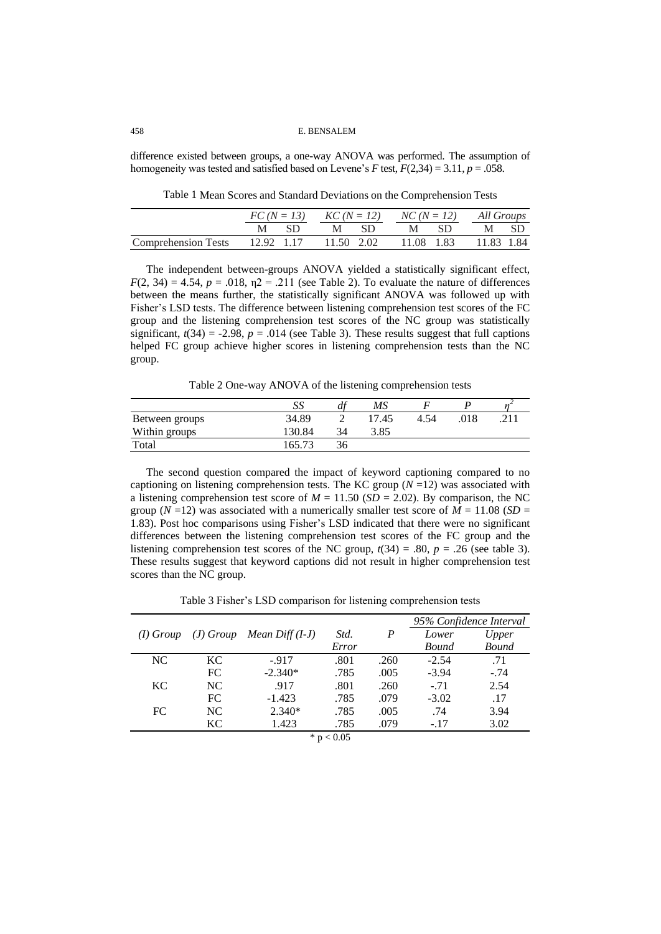difference existed between groups, a one-way ANOVA was performed. The assumption of homogeneity was tested and satisfied based on Levene's *F* test,  $F(2,34) = 3.11$ ,  $p = .058$ .

Table 1 Mean Scores and Standard Deviations on the Comprehension Tests

|                                                           |  |      | $FC(N = 13)$ $KC(N = 12)$ $NC(N = 12)$ All Groups |  |  |      |      |  |
|-----------------------------------------------------------|--|------|---------------------------------------------------|--|--|------|------|--|
|                                                           |  | M SD | M SD                                              |  |  | M SD | M SD |  |
| Comprehension Tests 12.92 1.17 11.50 2.02 11.08 1.83 1.84 |  |      |                                                   |  |  |      |      |  |

The independent between-groups ANOVA yielded a statistically significant effect,  $F(2, 34) = 4.54$ ,  $p = .018$ ,  $n2 = .211$  (see Table 2). To evaluate the nature of differences between the means further, the statistically significant ANOVA was followed up with Fisher's LSD tests. The difference between listening comprehension test scores of the FC group and the listening comprehension test scores of the NC group was statistically significant,  $t(34) = -2.98$ ,  $p = .014$  (see Table 3). These results suggest that full captions helped FC group achieve higher scores in listening comprehension tests than the NC group.

Table 2 One-way ANOVA of the listening comprehension tests

|                | SS    | df | MS    |      |     |           |
|----------------|-------|----|-------|------|-----|-----------|
| Between groups | 34.89 |    | 17.45 | 4.54 | 018 | <b>01</b> |
| Within groups  | 30.84 | 34 | 3.85  |      |     |           |
| Total          |       | 36 |       |      |     |           |

The second question compared the impact of keyword captioning compared to no captioning on listening comprehension tests. The KC group  $(N=12)$  was associated with a listening comprehension test score of  $M = 11.50$  (*SD* = 2.02). By comparison, the NC group ( $N = 12$ ) was associated with a numerically smaller test score of  $M = 11.08$  ( $SD =$ 1.83). Post hoc comparisons using Fisher's LSD indicated that there were no significant differences between the listening comprehension test scores of the FC group and the listening comprehension test scores of the NC group,  $t(34) = .80$ ,  $p = .26$  (see table 3). These results suggest that keyword captions did not result in higher comprehension test scores than the NC group.

Table 3 Fisher's LSD comparison for listening comprehension tests

|             |     |                               |              |                  |              | 95% Confidence Interval |
|-------------|-----|-------------------------------|--------------|------------------|--------------|-------------------------|
| $(I)$ Group |     | $(J)$ Group Mean Diff $(I-J)$ | Std.         | $\boldsymbol{P}$ | Lower        | Upper                   |
|             |     |                               | Error        |                  | <b>Bound</b> | <b>Bound</b>            |
| NC.         | KC. | $-917$                        | .801         | .260             | $-2.54$      | .71                     |
|             | FC. | $-2.340*$                     | .785         | .005             | $-3.94$      | $-.74$                  |
| KC.         | NC  | .917                          | .801         | .260             | $-.71$       | 2.54                    |
|             | FC  | $-1.423$                      | .785         | .079             | $-3.02$      | .17                     |
| FC          | NC  | $2.340*$                      | .785         | .005             | .74          | 3.94                    |
|             | KC. | 1.423                         | .785         | .079             | $-.17$       | 3.02                    |
|             |     |                               | * $p < 0.05$ |                  |              |                         |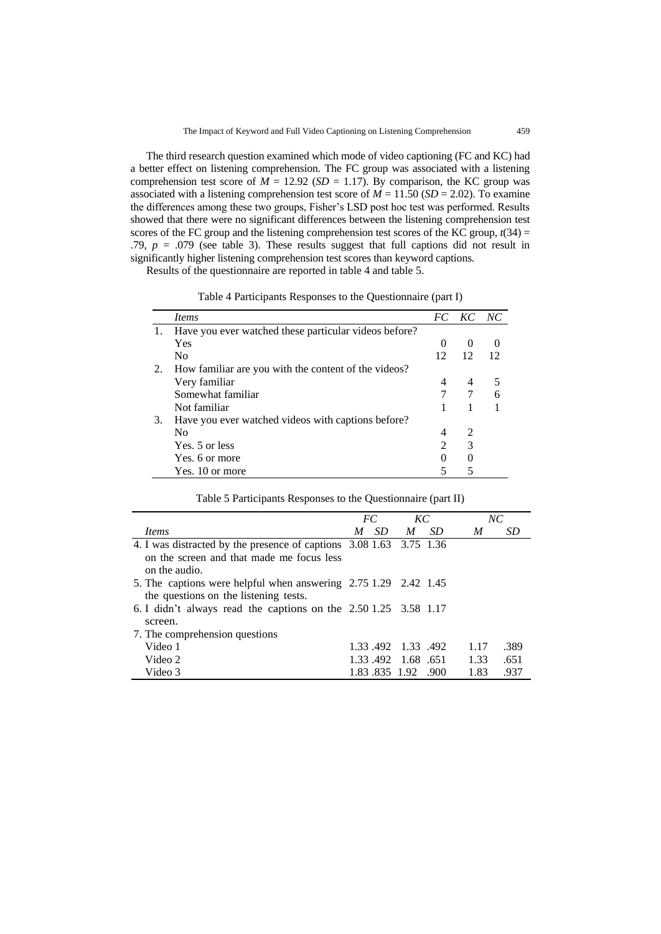The third research question examined which mode of video captioning (FC and KC) had a better effect on listening comprehension. The FC group was associated with a listening comprehension test score of  $M = 12.92$  (*SD* = 1.17). By comparison, the KC group was associated with a listening comprehension test score of  $M = 11.50$  (*SD* = 2.02). To examine the differences among these two groups, Fisher's LSD post hoc test was performed. Results showed that there were no significant differences between the listening comprehension test scores of the FC group and the listening comprehension test scores of the KC group,  $t(34)$  = .79,  $p = .079$  (see table 3). These results suggest that full captions did not result in significantly higher listening comprehension test scores than keyword captions.

Results of the questionnaire are reported in table 4 and table 5.

| Table 4 Participants Responses to the Questionnaire (part I) |  |  |  |
|--------------------------------------------------------------|--|--|--|
|--------------------------------------------------------------|--|--|--|

|    | <i>Items</i>                                          |                | FC KC NC                    |  |
|----|-------------------------------------------------------|----------------|-----------------------------|--|
|    | Have you ever watched these particular videos before? |                |                             |  |
|    | Yes                                                   | $\theta$       | $\theta$                    |  |
|    | N <sub>0</sub>                                        | 12             | 12                          |  |
| 2. | How familiar are you with the content of the videos?  |                |                             |  |
|    | Very familiar                                         | 4              | 4                           |  |
|    | Somewhat familiar                                     |                |                             |  |
|    | Not familiar                                          |                |                             |  |
| 3. | Have you ever watched videos with captions before?    |                |                             |  |
|    | No.                                                   | 4              | $\mathcal{D}_{\mathcal{L}}$ |  |
|    | Yes. 5 or less                                        | $\mathfrak{D}$ | 3                           |  |
|    | Yes. 6 or more                                        | $\Omega$       | $\theta$                    |  |
|    | Yes. 10 or more                                       | 5              |                             |  |

Table 5 Participants Responses to the Questionnaire (part II)

|                                                                     | FC.           | KC                 | NC           |
|---------------------------------------------------------------------|---------------|--------------------|--------------|
| <i>Items</i>                                                        | SD<br>M       | SD.<br>M           | SD<br>M      |
| 4. I was distracted by the presence of captions 3.08 1.63 3.75 1.36 |               |                    |              |
| on the screen and that made me focus less                           |               |                    |              |
| on the audio.                                                       |               |                    |              |
| 5. The captions were helpful when answering 2.75 1.29 2.42 1.45     |               |                    |              |
| the questions on the listening tests.                               |               |                    |              |
| 6. I didn't always read the captions on the 2.50 1.25 3.58 1.17     |               |                    |              |
| screen.                                                             |               |                    |              |
| 7. The comprehension questions                                      |               |                    |              |
| Video 1                                                             |               | 1.33.492 1.33.492  | 1.17<br>.389 |
| Video 2                                                             |               | 1.33.492 1.68 .651 | 1.33<br>.651 |
| Video 3                                                             | 1.83.835 1.92 | - 900              | 1.83<br>.937 |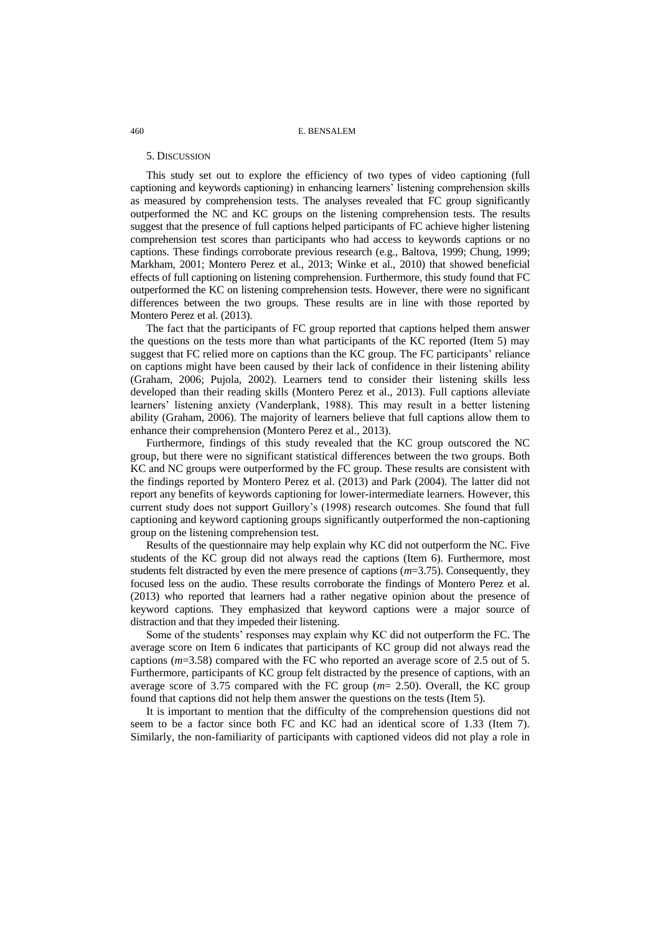#### 5. DISCUSSION

This study set out to explore the efficiency of two types of video captioning (full captioning and keywords captioning) in enhancing learners' listening comprehension skills as measured by comprehension tests. The analyses revealed that FC group significantly outperformed the NC and KC groups on the listening comprehension tests. The results suggest that the presence of full captions helped participants of FC achieve higher listening comprehension test scores than participants who had access to keywords captions or no captions. These findings corroborate previous research (e.g., Baltova, 1999; Chung, 1999; Markham, 2001; Montero Perez et al., 2013; Winke et al., 2010) that showed beneficial effects of full captioning on listening comprehension. Furthermore, this study found that FC outperformed the KC on listening comprehension tests. However, there were no significant differences between the two groups. These results are in line with those reported by Montero Perez et al. (2013).

The fact that the participants of FC group reported that captions helped them answer the questions on the tests more than what participants of the KC reported (Item 5) may suggest that FC relied more on captions than the KC group. The FC participants' reliance on captions might have been caused by their lack of confidence in their listening ability (Graham, 2006; Pujola, 2002). Learners tend to consider their listening skills less developed than their reading skills (Montero Perez et al., 2013). Full captions alleviate learners' listening anxiety (Vanderplank, 1988). This may result in a better listening ability (Graham, 2006). The majority of learners believe that full captions allow them to enhance their comprehension (Montero Perez et al., 2013).

Furthermore, findings of this study revealed that the KC group outscored the NC group, but there were no significant statistical differences between the two groups. Both KC and NC groups were outperformed by the FC group. These results are consistent with the findings reported by Montero Perez et al. (2013) and Park (2004). The latter did not report any benefits of keywords captioning for lower-intermediate learners. However, this current study does not support Guillory's (1998) research outcomes. She found that full captioning and keyword captioning groups significantly outperformed the non-captioning group on the listening comprehension test.

Results of the questionnaire may help explain why KC did not outperform the NC. Five students of the KC group did not always read the captions (Item 6). Furthermore, most students felt distracted by even the mere presence of captions (*m*=3.75). Consequently, they focused less on the audio. These results corroborate the findings of Montero Perez et al. (2013) who reported that learners had a rather negative opinion about the presence of keyword captions. They emphasized that keyword captions were a major source of distraction and that they impeded their listening.

Some of the students' responses may explain why KC did not outperform the FC. The average score on Item 6 indicates that participants of KC group did not always read the captions (*m*=3.58) compared with the FC who reported an average score of 2.5 out of 5. Furthermore, participants of KC group felt distracted by the presence of captions, with an average score of 3.75 compared with the FC group (*m*= 2.50). Overall, the KC group found that captions did not help them answer the questions on the tests (Item 5).

It is important to mention that the difficulty of the comprehension questions did not seem to be a factor since both FC and KC had an identical score of 1.33 (Item 7). Similarly, the non-familiarity of participants with captioned videos did not play a role in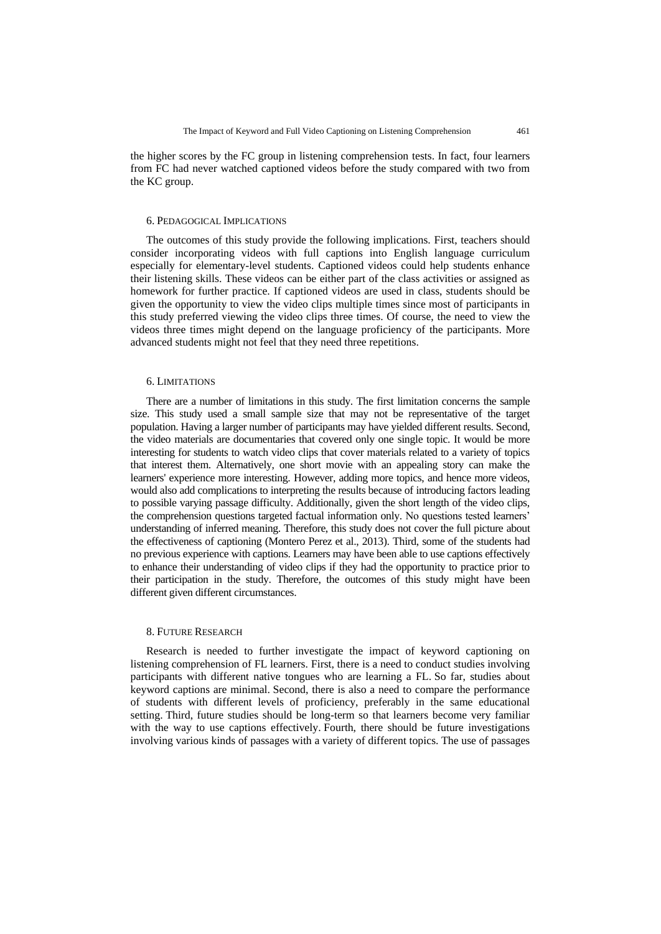the higher scores by the FC group in listening comprehension tests. In fact, four learners from FC had never watched captioned videos before the study compared with two from the KC group.

#### 6. PEDAGOGICAL IMPLICATIONS

The outcomes of this study provide the following implications. First, teachers should consider incorporating videos with full captions into English language curriculum especially for elementary-level students. Captioned videos could help students enhance their listening skills. These videos can be either part of the class activities or assigned as homework for further practice. If captioned videos are used in class, students should be given the opportunity to view the video clips multiple times since most of participants in this study preferred viewing the video clips three times. Of course, the need to view the videos three times might depend on the language proficiency of the participants. More advanced students might not feel that they need three repetitions.

# 6. LIMITATIONS

There are a number of limitations in this study. The first limitation concerns the sample size. This study used a small sample size that may not be representative of the target population. Having a larger number of participants may have yielded different results. Second, the video materials are documentaries that covered only one single topic. It would be more interesting for students to watch video clips that cover materials related to a variety of topics that interest them. Alternatively, one short movie with an appealing story can make the learners' experience more interesting. However, adding more topics, and hence more videos, would also add complications to interpreting the results because of introducing factors leading to possible varying passage difficulty. Additionally, given the short length of the video clips, the comprehension questions targeted factual information only. No questions tested learners' understanding of inferred meaning. Therefore, this study does not cover the full picture about the effectiveness of captioning (Montero Perez et al., 2013). Third, some of the students had no previous experience with captions. Learners may have been able to use captions effectively to enhance their understanding of video clips if they had the opportunity to practice prior to their participation in the study. Therefore, the outcomes of this study might have been different given different circumstances.

# 8. FUTURE RESEARCH

Research is needed to further investigate the impact of keyword captioning on listening comprehension of FL learners. First, there is a need to conduct studies involving participants with different native tongues who are learning a FL. So far, studies about keyword captions are minimal. Second, there is also a need to compare the performance of students with different levels of proficiency, preferably in the same educational setting. Third, future studies should be long-term so that learners become very familiar with the way to use captions effectively. Fourth, there should be future investigations involving various kinds of passages with a variety of different topics. The use of passages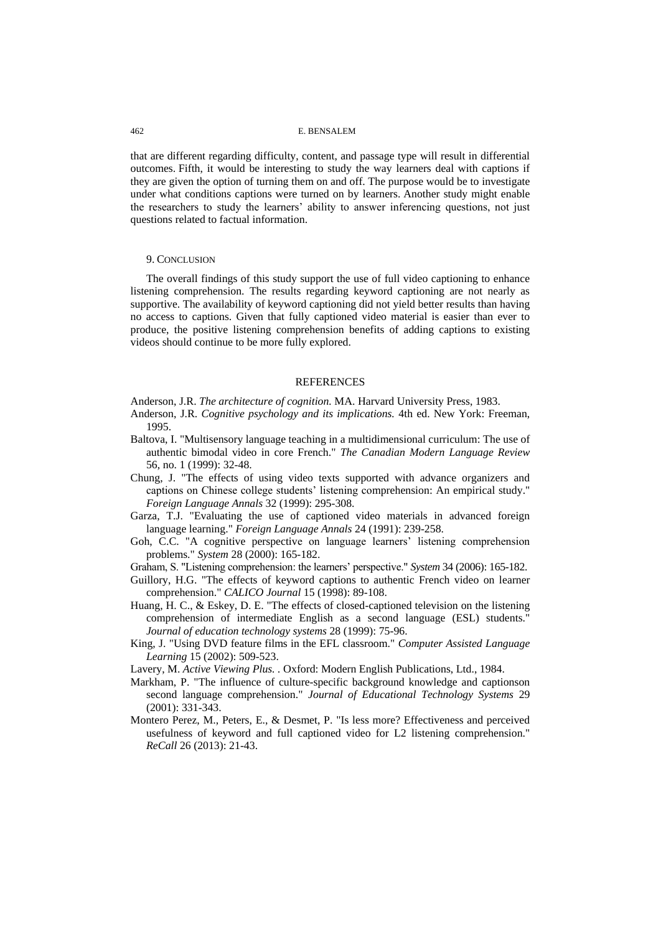that are different regarding difficulty, content, and passage type will result in differential outcomes. Fifth, it would be interesting to study the way learners deal with captions if they are given the option of turning them on and off. The purpose would be to investigate under what conditions captions were turned on by learners. Another study might enable the researchers to study the learners' ability to answer inferencing questions, not just questions related to factual information.

#### 9. CONCLUSION

The overall findings of this study support the use of full video captioning to enhance listening comprehension. The results regarding keyword captioning are not nearly as supportive. The availability of keyword captioning did not yield better results than having no access to captions. Given that fully captioned video material is easier than ever to produce, the positive listening comprehension benefits of adding captions to existing videos should continue to be more fully explored.

#### **REFERENCES**

Anderson, J.R. *The architecture of cognition.* MA. Harvard University Press, 1983.

- Anderson, J.R. *Cognitive psychology and its implications.* 4th ed. New York: Freeman, 1995.
- Baltova, I. "Multisensory language teaching in a multidimensional curriculum: The use of authentic bimodal video in core French." *The Canadian Modern Language Review* 56, no. 1 (1999): 32-48.
- Chung, J. "The effects of using video texts supported with advance organizers and captions on Chinese college students' listening comprehension: An empirical study." *Foreign Language Annals* 32 (1999): 295-308.
- Garza, T.J. "Evaluating the use of captioned video materials in advanced foreign language learning." *Foreign Language Annals* 24 (1991): 239-258.
- Goh, C.C. "A cognitive perspective on language learners' listening comprehension problems." *System* 28 (2000): 165-182.
- Graham, S. "Listening comprehension: the learners' perspective." *System* 34 (2006): 165-182.
- Guillory, H.G. "The effects of keyword captions to authentic French video on learner comprehension." *CALICO Journal* 15 (1998): 89-108.
- Huang, H. C., & Eskey, D. E. "The effects of closed-captioned television on the listening comprehension of intermediate English as a second language (ESL) students." *Journal of education technology systems* 28 (1999): 75-96.
- King, J. "Using DVD feature films in the EFL classroom." *Computer Assisted Language Learning* 15 (2002): 509-523.
- Lavery, M. *Active Viewing Plus. .* Oxford: Modern English Publications, Ltd., 1984.
- Markham, P. "The influence of culture-specific background knowledge and captionson second language comprehension." *Journal of Educational Technology Systems* 29 (2001): 331-343.
- Montero Perez, M., Peters, E., & Desmet, P. "Is less more? Effectiveness and perceived usefulness of keyword and full captioned video for L2 listening comprehension." *ReCall* 26 (2013): 21-43.